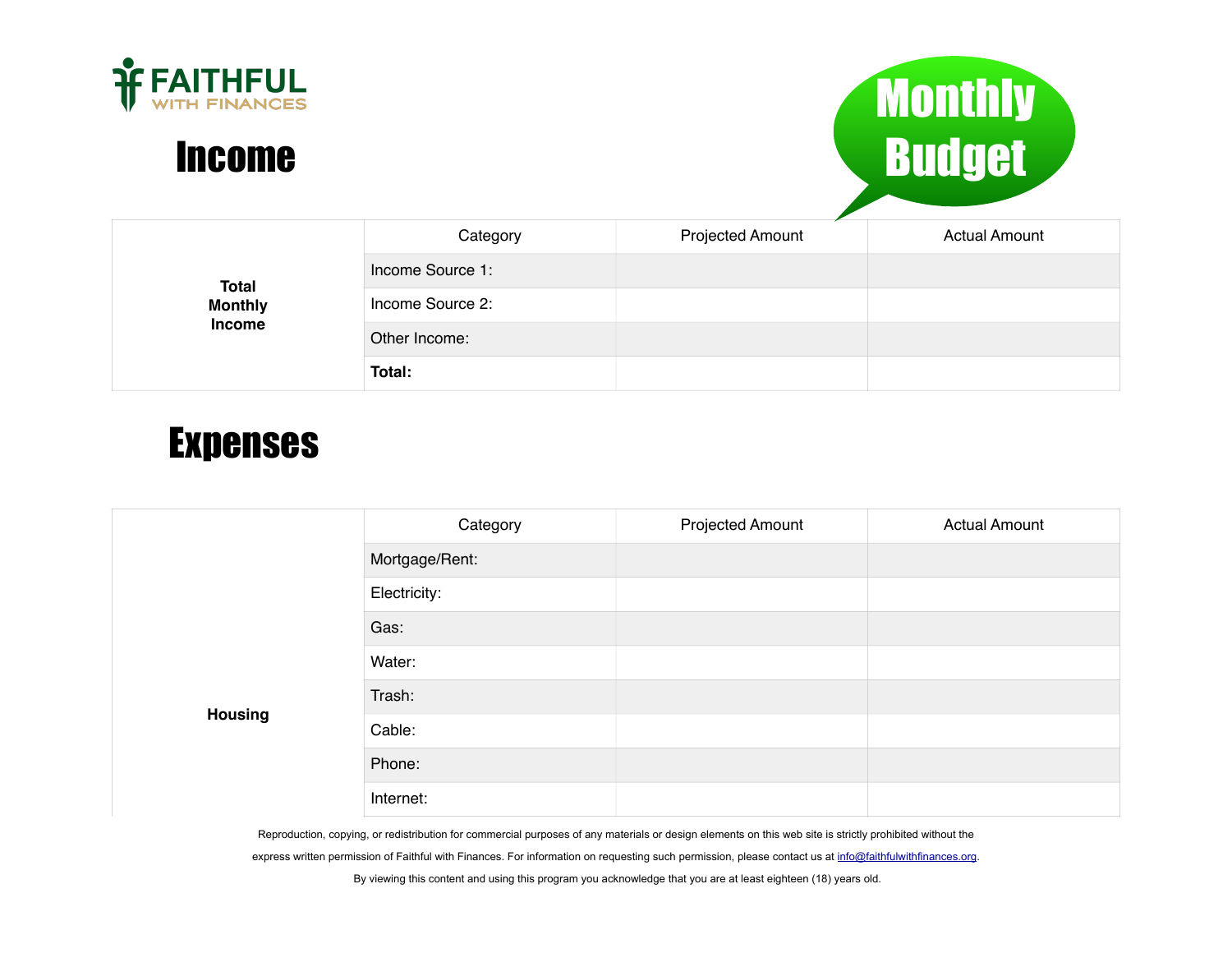



|                                          | Category         | <b>Projected Amount</b> | <b>Actual Amount</b> |
|------------------------------------------|------------------|-------------------------|----------------------|
| <b>Total</b><br><b>Monthly</b><br>Income | Income Source 1: |                         |                      |
|                                          | Income Source 2: |                         |                      |
|                                          | Other Income:    |                         |                      |
|                                          | Total:           |                         |                      |

## Expenses

|                | Category       | <b>Projected Amount</b> | <b>Actual Amount</b> |
|----------------|----------------|-------------------------|----------------------|
|                | Mortgage/Rent: |                         |                      |
|                | Electricity:   |                         |                      |
|                | Gas:           |                         |                      |
|                | Water:         |                         |                      |
|                | Trash:         |                         |                      |
| <b>Housing</b> | Cable:         |                         |                      |
|                | Phone:         |                         |                      |
|                | Internet:      |                         |                      |

Reproduction, copying, or redistribution for commercial purposes of any materials or design elements on this web site is strictly prohibited without the

express written permission of Faithful with Finances. For information on requesting such permission, please contact us at [info@faithfulwithfinances.org.](mailto:info@faithfulwithfinances.org?subject=)

By viewing this content and using this program you acknowledge that you are at least eighteen (18) years old.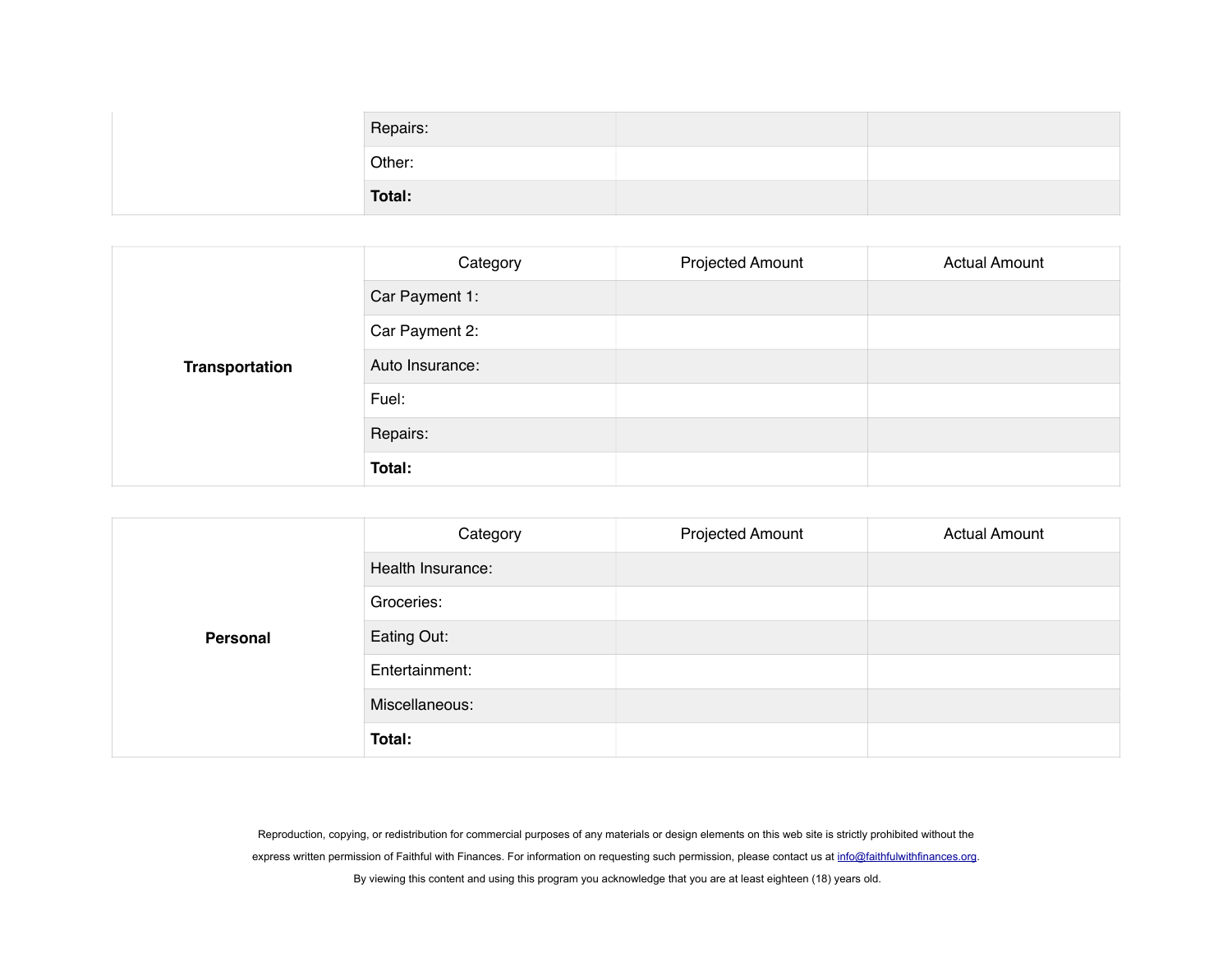| Repairs: |  |
|----------|--|
| Other:   |  |
| Total:   |  |

| Transportation | Category        | <b>Projected Amount</b> | <b>Actual Amount</b> |
|----------------|-----------------|-------------------------|----------------------|
|                | Car Payment 1:  |                         |                      |
|                | Car Payment 2:  |                         |                      |
|                | Auto Insurance: |                         |                      |
|                | Fuel:           |                         |                      |
|                | Repairs:        |                         |                      |
|                | Total:          |                         |                      |

| Personal | Category          | <b>Projected Amount</b> | <b>Actual Amount</b> |
|----------|-------------------|-------------------------|----------------------|
|          | Health Insurance: |                         |                      |
|          | Groceries:        |                         |                      |
|          | Eating Out:       |                         |                      |
|          | Entertainment:    |                         |                      |
|          | Miscellaneous:    |                         |                      |
|          | Total:            |                         |                      |

Reproduction, copying, or redistribution for commercial purposes of any materials or design elements on this web site is strictly prohibited without the express written permission of Faithful with Finances. For information on requesting such permission, please contact us at [info@faithfulwithfinances.org.](mailto:info@faithfulwithfinances.org?subject=)

By viewing this content and using this program you acknowledge that you are at least eighteen (18) years old.